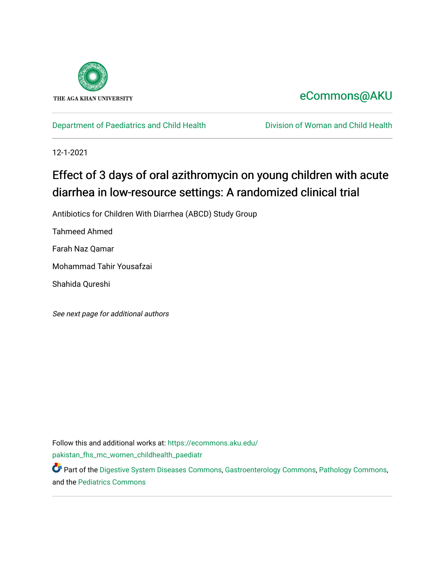

# [eCommons@AKU](https://ecommons.aku.edu/)

# [Department of Paediatrics and Child Health](https://ecommons.aku.edu/pakistan_fhs_mc_women_childhealth_paediatr) **Division of Woman and Child Health**

12-1-2021

# Effect of 3 days of oral azithromycin on young children with acute diarrhea in low-resource settings: A randomized clinical trial

Antibiotics for Children With Diarrhea (ABCD) Study Group

Tahmeed Ahmed

Farah Naz Qamar

Mohammad Tahir Yousafzai

Shahida Qureshi

See next page for additional authors

Follow this and additional works at: [https://ecommons.aku.edu/](https://ecommons.aku.edu/pakistan_fhs_mc_women_childhealth_paediatr?utm_source=ecommons.aku.edu%2Fpakistan_fhs_mc_women_childhealth_paediatr%2F1119&utm_medium=PDF&utm_campaign=PDFCoverPages) [pakistan\\_fhs\\_mc\\_women\\_childhealth\\_paediatr](https://ecommons.aku.edu/pakistan_fhs_mc_women_childhealth_paediatr?utm_source=ecommons.aku.edu%2Fpakistan_fhs_mc_women_childhealth_paediatr%2F1119&utm_medium=PDF&utm_campaign=PDFCoverPages) 

Part of the [Digestive System Diseases Commons](http://network.bepress.com/hgg/discipline/986?utm_source=ecommons.aku.edu%2Fpakistan_fhs_mc_women_childhealth_paediatr%2F1119&utm_medium=PDF&utm_campaign=PDFCoverPages), [Gastroenterology Commons,](http://network.bepress.com/hgg/discipline/687?utm_source=ecommons.aku.edu%2Fpakistan_fhs_mc_women_childhealth_paediatr%2F1119&utm_medium=PDF&utm_campaign=PDFCoverPages) [Pathology Commons](http://network.bepress.com/hgg/discipline/699?utm_source=ecommons.aku.edu%2Fpakistan_fhs_mc_women_childhealth_paediatr%2F1119&utm_medium=PDF&utm_campaign=PDFCoverPages), and the [Pediatrics Commons](http://network.bepress.com/hgg/discipline/700?utm_source=ecommons.aku.edu%2Fpakistan_fhs_mc_women_childhealth_paediatr%2F1119&utm_medium=PDF&utm_campaign=PDFCoverPages)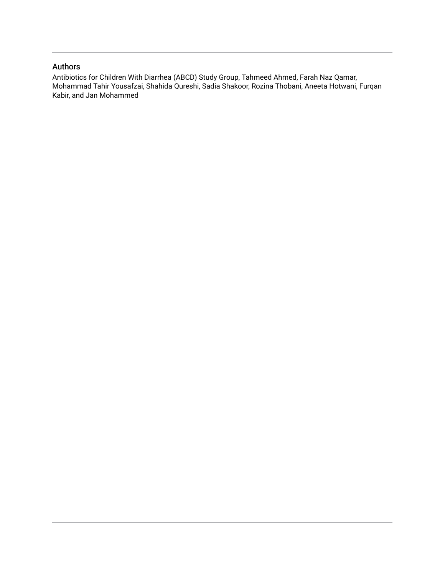## Authors

Antibiotics for Children With Diarrhea (ABCD) Study Group, Tahmeed Ahmed, Farah Naz Qamar, Mohammad Tahir Yousafzai, Shahida Qureshi, Sadia Shakoor, Rozina Thobani, Aneeta Hotwani, Furqan Kabir, and Jan Mohammed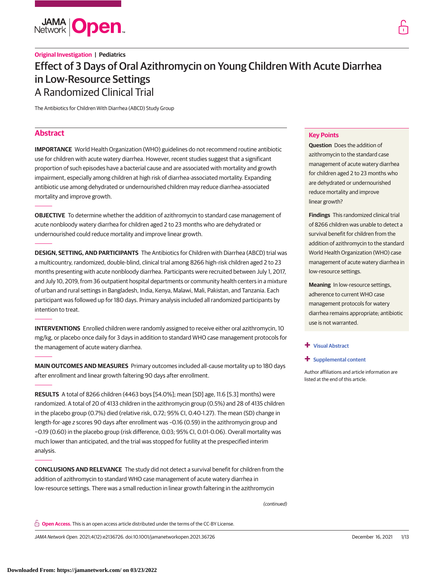

# **Original Investigation | Pediatrics** Effect of 3 Days of Oral Azithromycin on Young Children With Acute Diarrhea in Low-Resource Settings A Randomized Clinical Trial

The Antibiotics for Children With Diarrhea (ABCD) Study Group

## **Abstract**

**IMPORTANCE** World Health Organization (WHO) guidelines do not recommend routine antibiotic use for children with acute watery diarrhea. However, recent studies suggest that a significant proportion of such episodes have a bacterial cause and are associated with mortality and growth impairment, especially among children at high risk of diarrhea-associated mortality. Expanding antibiotic use among dehydrated or undernourished children may reduce diarrhea-associated mortality and improve growth.

**OBJECTIVE** To determine whether the addition of azithromycin to standard case management of acute nonbloody watery diarrhea for children aged 2 to 23 months who are dehydrated or undernourished could reduce mortality and improve linear growth.

**DESIGN, SETTING, AND PARTICIPANTS** The Antibiotics for Children with Diarrhea (ABCD) trial was a multicountry, randomized, double-blind, clinical trial among 8266 high-risk children aged 2 to 23 months presenting with acute nonbloody diarrhea. Participants were recruited between July 1, 2017, and July 10, 2019, from 36 outpatient hospital departments or community health centers in a mixture of urban and rural settings in Bangladesh, India, Kenya, Malawi, Mali, Pakistan, and Tanzania. Each participant was followed up for 180 days. Primary analysis included all randomized participants by intention to treat.

**INTERVENTIONS** Enrolled children were randomly assigned to receive either oral azithromycin, 10 mg/kg, or placebo once daily for 3 days in addition to standard WHO case management protocols for the management of acute watery diarrhea.

**MAIN OUTCOMES AND MEASURES** Primary outcomes included all-cause mortality up to 180 days after enrollment and linear growth faltering 90 days after enrollment.

**RESULTS** A total of 8266 children (4463 boys [54.0%]; mean [SD] age, 11.6 [5.3] months) were randomized. A total of 20 of 4133 children in the azithromycin group (0.5%) and 28 of 4135 children in the placebo group (0.7%) died (relative risk, 0.72; 95% CI, 0.40-1.27). The mean (SD) change in length-for-age z scores 90 days after enrollment was –0.16 (0.59) in the azithromycin group and −0.19 (0.60) in the placebo group (risk difference, 0.03; 95% CI, 0.01-0.06). Overall mortality was much lower than anticipated, and the trial was stopped for futility at the prespecified interim analysis.

**CONCLUSIONS AND RELEVANCE** The study did not detect a survival benefit for children from the addition of azithromycin to standard WHO case management of acute watery diarrhea in low-resource settings. There was a small reduction in linear growth faltering in the azithromycin

(continued)

**Open Access.** This is an open access article distributed under the terms of the CC-BY License.

JAMA Network Open. 2021;4(12):e2136726. doi:10.1001/jamanetworkopen.2021.36726 (Reprinted) December 16, 2021 1/13

### **Key Points**

**Question** Does the addition of azithromycin to the standard case management of acute watery diarrhea for children aged 2 to 23 months who are dehydrated or undernourished reduce mortality and improve linear growth?

**Findings** This randomized clinical trial of 8266 children was unable to detect a survival benefit for children from the addition of azithromycin to the standard World Health Organization (WHO) case management of acute watery diarrhea in low-resource settings.

**Meaning** In low-resource settings, adherence to current WHO case management protocols for watery diarrhea remains appropriate; antibiotic use is not warranted.

#### **+ [Visual Abstract](https://jama.jamanetwork.com/article.aspx?doi=10.1001/jamanetworkopen.2021.36726&utm_campaign=articlePDF%26utm_medium=articlePDFlink%26utm_source=articlePDF%26utm_content=jamanetworkopen.2021.36726)**

**+ [Supplemental content](https://jama.jamanetwork.com/article.aspx?doi=10.1001/jamanetworkopen.2021.36726&utm_campaign=articlePDF%26utm_medium=articlePDFlink%26utm_source=articlePDF%26utm_content=jamanetworkopen.2021.36726)**

Author affiliations and article information are listed at the end of this article.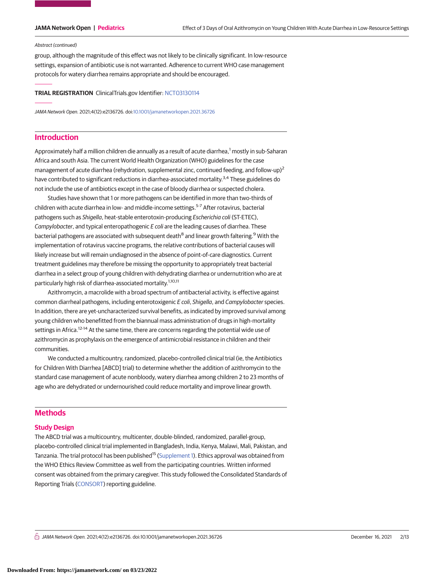#### Abstract (continued)

group, although the magnitude of this effect was not likely to be clinically significant. In low-resource settings, expansion of antibiotic use is not warranted. Adherence to current WHO case management protocols for watery diarrhea remains appropriate and should be encouraged.

**TRIAL REGISTRATION** ClinicalTrials.gov Identifier: [NCT03130114](https://clinicaltrials.gov/ct2/show/NCT03130114)

JAMA Network Open. 2021;4(12):e2136726. doi[:10.1001/jamanetworkopen.2021.36726](https://jama.jamanetwork.com/article.aspx?doi=10.1001/jamanetworkopen.2021.36726&utm_campaign=articlePDF%26utm_medium=articlePDFlink%26utm_source=articlePDF%26utm_content=jamanetworkopen.2021.36726)

### **Introduction**

Approximately half a million children die annually as a result of acute diarrhea,<sup>1</sup> mostly in sub-Saharan Africa and south Asia. The current World Health Organization (WHO) guidelines for the case management of acute diarrhea (rehydration, supplemental zinc, continued feeding, and follow-up)<sup>2</sup> have contributed to significant reductions in diarrhea-associated mortality.<sup>3,4</sup> These guidelines do not include the use of antibiotics except in the case of bloody diarrhea or suspected cholera.

Studies have shown that 1 or more pathogens can be identified in more than two-thirds of children with acute diarrhea in low- and middle-income settings.<sup>5-7</sup> After rotavirus, bacterial pathogens such as Shigella, heat-stable enterotoxin-producing Escherichia coli (ST-ETEC), Campylobacter, and typical enteropathogenic E coli are the leading causes of diarrhea. These bacterial pathogens are associated with subsequent death<sup>8</sup> and linear growth faltering.<sup>9</sup> With the implementation of rotavirus vaccine programs, the relative contributions of bacterial causes will likely increase but will remain undiagnosed in the absence of point-of-care diagnostics. Current treatment guidelines may therefore be missing the opportunity to appropriately treat bacterial diarrhea in a select group of young children with dehydrating diarrhea or undernutrition who are at particularly high risk of diarrhea-associated mortality.<sup>1,10,11</sup>

Azithromycin, a macrolide with a broad spectrum of antibacterial activity, is effective against common diarrheal pathogens, including enterotoxigenic E coli, Shigella, and Campylobacter species. In addition, there are yet-uncharacterized survival benefits, as indicated by improved survival among young children who benefitted from the biannual mass administration of drugs in high-mortality settings in Africa.<sup>12-14</sup> At the same time, there are concerns regarding the potential wide use of azithromycin as prophylaxis on the emergence of antimicrobial resistance in children and their communities.

We conducted a multicountry, randomized, placebo-controlled clinical trial (ie, the Antibiotics for Children With Diarrhea [ABCD] trial) to determine whether the addition of azithromycin to the standard case management of acute nonbloody, watery diarrhea among children 2 to 23 months of age who are dehydrated or undernourished could reduce mortality and improve linear growth.

### **Methods**

### **Study Design**

The ABCD trial was a multicountry, multicenter, double-blinded, randomized, parallel-group, placebo-controlled clinical trial implemented in Bangladesh, India, Kenya, Malawi, Mali, Pakistan, and Tanzania. The trial protocol has been published<sup>15</sup> [\(Supplement 1\)](https://jama.jamanetwork.com/article.aspx?doi=10.1001/jamanetworkopen.2021.36726&utm_campaign=articlePDF%26utm_medium=articlePDFlink%26utm_source=articlePDF%26utm_content=jamanetworkopen.2021.36726). Ethics approval was obtained from the WHO Ethics Review Committee as well from the participating countries. Written informed consent was obtained from the primary caregiver. This study followed the Consolidated Standards of Reporting Trials [\(CONSORT\)](https://www.equator-network.org/reporting-guidelines/consort/) reporting guideline.

 $\stackrel{\frown}{\Box}$  JAMA Network Open. 2021;4(12):e2136726. doi:10.1001/jamanetworkopen.2021.36726 (Reprinted) December 16, 2021 2/13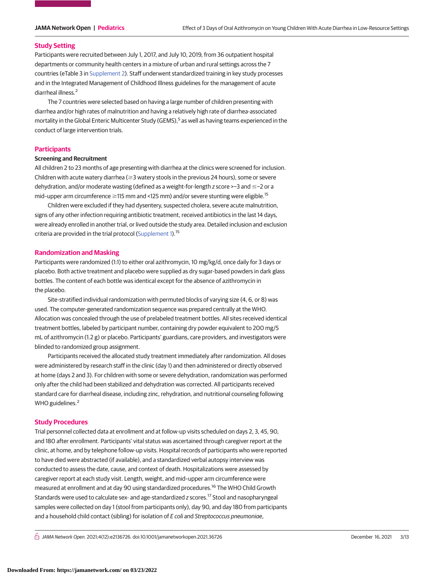#### **Study Setting**

Participants were recruited between July 1, 2017, and July 10, 2019, from 36 outpatient hospital departments or community health centers in a mixture of urban and rural settings across the 7 countries (eTable 3 in [Supplement 2\)](https://jama.jamanetwork.com/article.aspx?doi=10.1001/jamanetworkopen.2021.36726&utm_campaign=articlePDF%26utm_medium=articlePDFlink%26utm_source=articlePDF%26utm_content=jamanetworkopen.2021.36726). Staff underwent standardized training in key study processes and in the Integrated Management of Childhood Illness guidelines for the management of acute diarrheal illness.<sup>2</sup>

The 7 countries were selected based on having a large number of children presenting with diarrhea and/or high rates of malnutrition and having a relatively high rate of diarrhea-associated mortality in the Global Enteric Multicenter Study (GEMS),<sup>5</sup> as well as having teams experienced in the conduct of large intervention trials.

### **Participants**

#### **Screening and Recruitment**

All children 2 to 23 months of age presenting with diarrhea at the clinics were screened for inclusion. Children with acute watery diarrhea ( $\geq$ 3 watery stools in the previous 24 hours), some or severe dehydration, and/or moderate wasting (defined as a weight-for-length z score >−3 and ≤−2 or a mid-upper arm circumference ≥115 mm and <125 mm) and/or severe stunting were eligible.<sup>15</sup>

Children were excluded if they had dysentery, suspected cholera, severe acute malnutrition, signs of any other infection requiring antibiotic treatment, received antibiotics in the last 14 days, were already enrolled in another trial, or lived outside the study area. Detailed inclusion and exclusion criteria are provided in the trial protocol [\(Supplement 1\)](https://jama.jamanetwork.com/article.aspx?doi=10.1001/jamanetworkopen.2021.36726&utm_campaign=articlePDF%26utm_medium=articlePDFlink%26utm_source=articlePDF%26utm_content=jamanetworkopen.2021.36726).<sup>15</sup>

#### **Randomization and Masking**

Participants were randomized (1:1) to either oral azithromycin, 10 mg/kg/d, once daily for 3 days or placebo. Both active treatment and placebo were supplied as dry sugar-based powders in dark glass bottles. The content of each bottle was identical except for the absence of azithromycin in the placebo.

Site-stratified individual randomization with permuted blocks of varying size (4, 6, or 8) was used. The computer-generated randomization sequence was prepared centrally at the WHO. Allocation was concealed through the use of prelabeled treatment bottles. All sites received identical treatment bottles, labeled by participant number, containing dry powder equivalent to 200 mg/5 mL of azithromycin (1.2 g) or placebo. Participants' guardians, care providers, and investigators were blinded to randomized group assignment.

Participants received the allocated study treatment immediately after randomization. All doses were administered by research staff in the clinic (day 1) and then administered or directly observed at home (days 2 and 3). For children with some or severe dehydration, randomization was performed only after the child had been stabilized and dehydration was corrected. All participants received standard care for diarrheal disease, including zinc, rehydration, and nutritional counseling following WHO guidelines.<sup>2</sup>

#### **Study Procedures**

Trial personnel collected data at enrollment and at follow-up visits scheduled on days 2, 3, 45, 90, and 180 after enrollment. Participants' vital status was ascertained through caregiver report at the clinic, at home, and by telephone follow-up visits. Hospital records of participants who were reported to have died were abstracted (if available), and a standardized verbal autopsy interview was conducted to assess the date, cause, and context of death. Hospitalizations were assessed by caregiver report at each study visit. Length, weight, and mid–upper arm circumference were measured at enrollment and at day 90 using standardized procedures.16 The WHO Child Growth Standards were used to calculate sex- and age-standardized z scores.<sup>17</sup> Stool and nasopharyngeal samples were collected on day 1 (stool from participants only), day 90, and day 180 from participants and a household child contact (sibling) for isolation of E coli and Streptococcus pneumoniae,

 $\bigcap$  JAMA Network Open. 2021;4(12):e2136726. doi:10.1001/jamanetworkopen.2021.36726 (Reprinted) December 16, 2021 3/13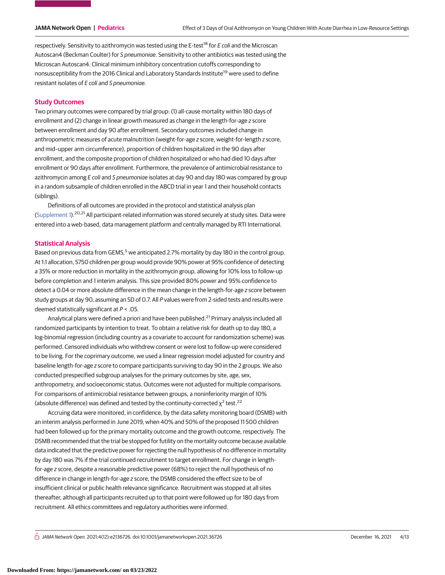respectively. Sensitivity to azithromycin was tested using the E-test<sup>18</sup> for E coli and the Microscan Autoscan4 (Beckman Coulter) for S pneumoniae. Sensitivity to other antibiotics was tested using the Microscan Autoscan4. Clinical minimum inhibitory concentration cutoffs corresponding to nonsusceptibility from the 2016 Clinical and Laboratory Standards Institute<sup>19</sup> were used to define resistant isolates of E coli and S pneumoniae.

### **Study Outcomes**

Two primary outcomes were compared by trial group: (1) all-cause mortality within 180 days of enrollment and (2) change in linear growth measured as change in the length-for-age z score between enrollment and day 90 after enrollment. Secondary outcomes included change in anthropometric measures of acute malnutrition (weight-for-age z score, weight-for-length z score, and mid–upper arm circumference), proportion of children hospitalized in the 90 days after enrollment, and the composite proportion of children hospitalized or who had died 10 days after enrollment or 90 days after enrollment. Furthermore, the prevalence of antimicrobial resistance to azithromycin among E coli and S pneumoniae isolates at day 90 and day 180 was compared by group in a random subsample of children enrolled in the ABCD trial in year 1 and their household contacts (siblings).

Definitions of all outcomes are provided in the protocol and statistical analysis plan [\(Supplement 1\)](https://jama.jamanetwork.com/article.aspx?doi=10.1001/jamanetworkopen.2021.36726&utm_campaign=articlePDF%26utm_medium=articlePDFlink%26utm_source=articlePDF%26utm_content=jamanetworkopen.2021.36726).20,21 All participant-related information was stored securely at study sites. Data were entered into a web-based, data management platform and centrally managed by RTI International.

### **Statistical Analysis**

Based on previous data from GEMS,<sup>5</sup> we anticipated 2.7% mortality by day 180 in the control group. At 1:1 allocation, 5750 children per group would provide 90% power at 95% confidence of detecting a 35% or more reduction in mortality in the azithromycin group, allowing for 10% loss to follow-up before completion and 1 interim analysis. This size provided 80% power and 95% confidence to detect a 0.04 or more absolute difference in the mean change in the length-for-age z score between study groups at day 90, assuming an SD of 0.7. All P values were from 2-sided tests and results were deemed statistically significant at  $P < .05$ .

Analytical plans were defined a priori and have been published.<sup>21</sup> Primary analysis included all randomized participants by intention to treat. To obtain a relative risk for death up to day 180, a log-binomial regression (including country as a covariate to account for randomization scheme) was performed. Censored individuals who withdrew consent or were lost to follow-up were considered to be living. For the coprimary outcome, we used a linear regression model adjusted for country and baseline length-for-age z score to compare participants surviving to day 90 in the 2 groups. We also conducted prespecified subgroup analyses for the primary outcomes by site, age, sex, anthropometry, and socioeconomic status. Outcomes were not adjusted for multiple comparisons. For comparisons of antimicrobial resistance between groups, a noninferiority margin of 10% (absolute difference) was defined and tested by the continuity-corrected  $\chi^2$  test.<sup>22</sup>

Accruing data were monitored, in confidence, by the data safety monitoring board (DSMB) with an interim analysis performed in June 2019, when 40% and 50% of the proposed 11 500 children had been followed up for the primary mortality outcome and the growth outcome, respectively. The DSMB recommended that the trial be stopped for futility on the mortality outcome because available data indicated that the predictive power for rejecting the null hypothesis of no difference in mortality by day 180 was 7% if the trial continued recruitment to target enrollment. For change in lengthfor-age z score, despite a reasonable predictive power (68%) to reject the null hypothesis of no difference in change in length-for-age z score, the DSMB considered the effect size to be of insufficient clinical or public health relevance significance. Recruitment was stopped at all sites thereafter, although all participants recruited up to that point were followed up for 180 days from recruitment. All ethics committees and regulatory authorities were informed.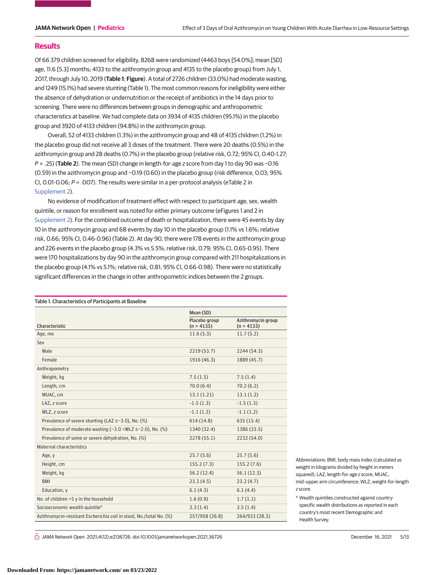### **Results**

Of 66 379 children screened for eligibility, 8268 were randomized (4463 boys [54.0%]; mean [SD] age, 11.6 [5.3] months; 4133 to the azithromycin group and 4135 to the placebo group) from July 1, 2017, through July 10, 2019 (**Table 1**; **Figure**). A total of 2726 children (33.0%) had moderate wasting, and 1249 (15.1%) had severe stunting (Table 1). The most common reasons for ineligibility were either the absence of dehydration or undernutrition or the receipt of antibiotics in the 14 days prior to screening. There were no differences between groups in demographic and anthropometric characteristics at baseline. We had complete data on 3934 of 4135 children (95.1%) in the placebo group and 3920 of 4133 children (94.8%) in the azithromycin group.

Overall, 52 of 4133 children (1.3%) in the azithromycin group and 48 of 4135 children (1.2%) in the placebo group did not receive all 3 doses of the treatment. There were 20 deaths (0.5%) in the azithromycin group and 28 deaths (0.7%) in the placebo group (relative risk, 0.72; 95% CI, 0.40-1.27; P = .25) (**Table 2**). The mean (SD) change in length-for-age z score from day 1 to day 90 was −0.16 (0.59) in the azithromycin group and −0.19 (0.60) in the placebo group (risk difference, 0.03; 95% CI, 0.01-0.06;  $P = .007$ ). The results were similar in a per-protocol analysis (eTable 2 in [Supplement 2\)](https://jama.jamanetwork.com/article.aspx?doi=10.1001/jamanetworkopen.2021.36726&utm_campaign=articlePDF%26utm_medium=articlePDFlink%26utm_source=articlePDF%26utm_content=jamanetworkopen.2021.36726).

No evidence of modification of treatment effect with respect to participant age, sex, wealth quintile, or reason for enrollment was noted for either primary outcome (eFigures 1 and 2 in [Supplement 2\)](https://jama.jamanetwork.com/article.aspx?doi=10.1001/jamanetworkopen.2021.36726&utm_campaign=articlePDF%26utm_medium=articlePDFlink%26utm_source=articlePDF%26utm_content=jamanetworkopen.2021.36726). For the combined outcome of death or hospitalization, there were 45 events by day 10 in the azithromycin group and 68 events by day 10 in the placebo group (1.1% vs 1.6%; relative risk, 0.66; 95% CI, 0.46-0.96) (Table 2). At day 90, there were 178 events in the azithromycin group and 226 events in the placebo group (4.3% vs 5.5%; relative risk, 0.79; 95% CI, 0.65-0.95). There were 170 hospitalizations by day 90 in the azithromycin group compared with 211 hospitalizations in the placebo group (4.1% vs 5.1%; relative risk, 0.81; 95% CI, 0.66-0.98). There were no statistically significant differences in the change in other anthropometric indices between the 2 groups.

| Table 1. Characteristics of Participants at Baseline                  |                               |                                    |  |  |  |
|-----------------------------------------------------------------------|-------------------------------|------------------------------------|--|--|--|
|                                                                       | Mean (SD)                     |                                    |  |  |  |
| Characteristic                                                        | Placebo group<br>$(n = 4135)$ | Azithromycin group<br>$(n = 4133)$ |  |  |  |
| Age, mo                                                               | 11.6(5.3)                     | 11.7(5.2)                          |  |  |  |
| Sex                                                                   |                               |                                    |  |  |  |
| Male                                                                  | 2219 (53.7)                   | 2244 (54.3)                        |  |  |  |
| Female                                                                | 1916 (46.3)                   | 1889 (45.7)                        |  |  |  |
| Anthropometry                                                         |                               |                                    |  |  |  |
| Weight, kg                                                            | 7.5(1.5)                      | 7.5(1.4)                           |  |  |  |
| Length, cm                                                            | 70.0(6.4)                     | 70.2(6.2)                          |  |  |  |
| MUAC, cm                                                              | 13.1(1.21)                    | 13.1(1.2)                          |  |  |  |
| LAZ, z score                                                          | $-1.5(1.3)$                   | $-1.5(1.3)$                        |  |  |  |
| WLZ, z score                                                          | $-1.1(1.2)$                   | $-1.1(1.2)$                        |  |  |  |
| Prevalence of severe stunting (LAZ ≤-3.0), No. (%)                    | 614(14.8)                     | 635 (15.4)                         |  |  |  |
| Prevalence of moderate wasting $(-3.0 \le WLZ \le -2.0)$ . No. $(\%)$ | 1340 (32.4)                   | 1386 (33.5)                        |  |  |  |
| Prevalence of some or severe dehydration, No. (%)                     | 2278 (55.1)                   | 2232 (54.0)                        |  |  |  |
| <b>Maternal characteristics</b>                                       |                               |                                    |  |  |  |
| Age, y                                                                | 25.7(5.6)                     | 25.7(5.6)                          |  |  |  |
| Height, cm                                                            | 155.2(7.3)                    | 155.2(7.6)                         |  |  |  |
| Weight, kg                                                            | 56.2(12.4)                    | 56.1(12.3)                         |  |  |  |
| <b>BMI</b>                                                            | 23.3(4.5)                     | 23.2(4.7)                          |  |  |  |
| Education, y                                                          | 6.1(4.3)                      | 6.1(4.4)                           |  |  |  |
| No. of children <5 y in the household                                 | 1.6(0.9)                      | 1.7(1.1)                           |  |  |  |
| Socioeconomic wealth quintile <sup>a</sup>                            | 3.3(1.4)                      | 3.5(1.4)                           |  |  |  |
| Azithromycin-resistant Escherichia coli in stool, No./total No. (%)   | 257/958 (26.8)                | 264/933 (28.3)                     |  |  |  |

Abbreviations: BMI, body mass index (calculated as weight in kilograms divided by height in meters squared); LAZ, length-for-age z score; MUAC, mid–upper arm circumference; WLZ, weight-for-length z score.

a Wealth quintiles constructed against countryspecific wealth distributions as reported in each country's most recent Demographic and Health Survey.

 $\bigcap$  JAMA Network Open. 2021;4(12):e2136726. doi:10.1001/jamanetworkopen.2021.36726 (Reprinted) December 16, 2021 5/13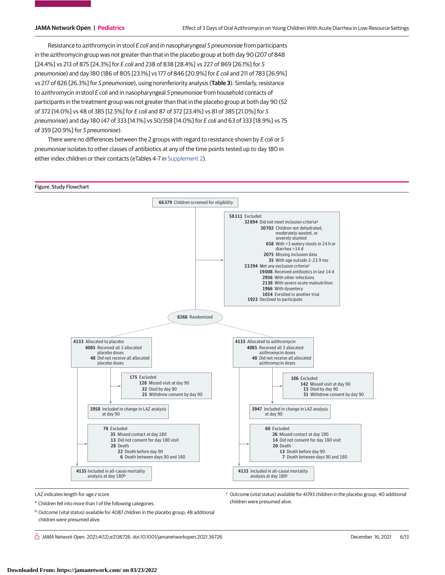Resistance to azithromycin in stool E coli and in nasopharyngeal S pneumoniae from participants in the azithromycin group was not greater than that in the placebo group at both day 90 (207 of 848 [24.4%] vs 213 of 875 [24.3%] for E coli and 238 of 838 [28.4%] vs 227 of 869 [26.1%] for S pneumoniae) and day 180 (186 of 805 [23.1%] vs 177 of 846 [20.9%] for E coli and 211 of 783 [26.9%] vs 217 of 826 [26.3%] for S pneumoniae), using noninferiority analysis (**Table 3**). Similarly, resistance to azithromycin in stool E coli and in nasopharyngeal S pneumoniae from household contacts of participants in the treatment group was not greater than that in the placebo group at both day 90 (52 of 372 [14.0%] vs 48 of 385 [12.5%] for E coli and 87 of 372 [23.4%] vs 81 of 385 [21.0%] for S pneumoniae) and day 180 (47 of 333 [14.1%] vs 50/358 [14.0%] for E coli and 63 of 333 [18.9%] vs 75 of 359 [20.9%] for S pneumoniae).

There were no differences between the 2 groups with regard to resistance shown by  $E$  coli or S pneumoniae isolates to other classes of antibiotics at any of the time points tested up to day 180 in either index children or their contacts (eTables 4-7 in [Supplement 2\)](https://jama.jamanetwork.com/article.aspx?doi=10.1001/jamanetworkopen.2021.36726&utm_campaign=articlePDF%26utm_medium=articlePDFlink%26utm_source=articlePDF%26utm_content=jamanetworkopen.2021.36726).



LAZ indicates length-for-age z score.

a Children fell into more than 1 of the following categories.

<sup>c</sup> Outcome (vital status) available for 4093 children in the placebo group; 40 additional children were presumed alive.

<sup>b</sup> Outcome (vital status) available for 4087 children in the placebo group; 48 additional children were presumed alive.

 $\bigcap$  JAMA Network Open. 2021;4(12):e2136726. doi:10.1001/jamanetworkopen.2021.36726 (Reprinted) December 16, 2021 6/13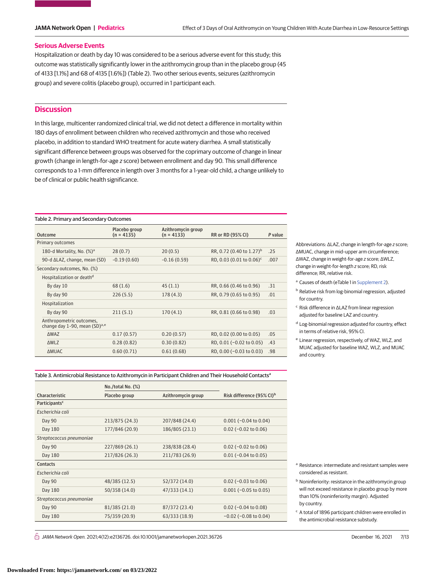#### **Serious Adverse Events**

Hospitalization or death by day 10 was considered to be a serious adverse event for this study; this outcome was statistically significantly lower in the azithromycin group than in the placebo group (45 of 4133 [1.1%] and 68 of 4135 [1.6%]) (Table 2). Two other serious events, seizures (azithromycin group) and severe colitis (placebo group), occurred in 1 participant each.

### **Discussion**

In this large, multicenter randomized clinical trial, we did not detect a difference in mortality within 180 days of enrollment between children who received azithromycin and those who received placebo, in addition to standard WHO treatment for acute watery diarrhea. A small statistically significant difference between groups was observed for the coprimary outcome of change in linear growth (change in length-for-age z score) between enrollment and day 90. This small difference corresponds to a 1-mm difference in length over 3 months for a 1-year-old child, a change unlikely to be of clinical or public health significance.

#### Table 2. Primary and Secondary Outcomes

| Outcome                                                               | Placebo group<br>$(n = 4135)$ | Azithromycin group<br>$(n = 4133)$ | RR or RD (95% CI)                    | P value |
|-----------------------------------------------------------------------|-------------------------------|------------------------------------|--------------------------------------|---------|
| Primary outcomes                                                      |                               |                                    |                                      |         |
| 180-d Mortality, No. $(\%)^a$                                         | 28(0.7)                       | 20(0.5)                            | RR, 0.72 (0.40 to 1.27) <sup>b</sup> | .25     |
| 90-d $\Delta$ LAZ, change, mean (SD)                                  | $-0.19(0.60)$                 | $-0.16(0.59)$                      | RD, 0.03 (0.01 to 0.06) <sup>c</sup> | .007    |
| Secondary outcomes, No. (%)                                           |                               |                                    |                                      |         |
| Hospitalization or death <sup>d</sup>                                 |                               |                                    |                                      |         |
| By day 10                                                             | 68(1.6)                       | 45(1.1)                            | RR, 0.66 (0.46 to 0.96)              | .31     |
| By day 90                                                             | 226(5.5)                      | 178(4.3)                           | RR, 0.79 (0.65 to 0.95)              | .01     |
| Hospitalization                                                       |                               |                                    |                                      |         |
| By day 90                                                             | 211(5.1)                      | 170(4.1)                           | RR, 0.81 (0.66 to 0.98)              | .03     |
| Anthropometric outcomes,<br>change day 1-90, mean (SD) <sup>a,e</sup> |                               |                                    |                                      |         |
| <b>AWAZ</b>                                                           | 0.17(0.57)                    | 0.20(0.57)                         | RD, 0.02 (0.00 to 0.05)              | .05     |
| <b>AWLZ</b>                                                           | 0.28(0.82)                    | 0.30(0.82)                         | RD, $0.01$ (-0.02 to 0.05)           | .43     |
| <b>AMUAC</b>                                                          | 0.60(0.71)                    | 0.61(0.68)                         | RD, 0.00 (-0.03 to 0.03)             | .98     |

Abbreviations: ΔLAZ, change in length-for-age z score; ΔMUAC, change in mid–upper arm circumference; ΔWAZ, change in weight-for-age z score; ΔWLZ, change in weight-for-length z score; RD, risk difference; RR, relative risk.

- <sup>a</sup> Causes of death (eTable 1 in [Supplement 2\)](https://jama.jamanetwork.com/article.aspx?doi=10.1001/jamanetworkopen.2021.36726&utm_campaign=articlePDF%26utm_medium=articlePDFlink%26utm_source=articlePDF%26utm_content=jamanetworkopen.2021.36726).
- **b** Relative risk from log-binomial regression, adjusted for country.
- <sup>c</sup> Risk difference in ΔLAZ from linear regression adjusted for baseline LAZ and country.
- <sup>d</sup> Log-binomial regression adjusted for country, effect in terms of relative risk, 95% CI.
- <sup>e</sup> Linear regression, respectively, of WAZ, WLZ, and MUAC adjusted for baseline WAZ, WLZ, and MUAC and country.

Table 3. Antimicrobial Resistance to Azithromycin in Participant Children and Their Household Contacts<sup>a</sup>

|                           | $No./total No.$ $(\%)$ |                    |                                       |  |
|---------------------------|------------------------|--------------------|---------------------------------------|--|
| Characteristic            | Placebo group          | Azithromycin group | Risk difference (95% CI) <sup>b</sup> |  |
| Participants <sup>c</sup> |                        |                    |                                       |  |
| Escherichia coli          |                        |                    |                                       |  |
| Day 90                    | 213/875 (24.3)         | 207/848 (24.4)     | $0.001 (-0.04 to 0.04)$               |  |
| Day 180                   | 177/846 (20.9)         | 186/805 (23.1)     | $0.02$ (-0.02 to 0.06)                |  |
| Streptococcus pneumoniae  |                        |                    |                                       |  |
| Day 90                    | 227/869 (26.1)         | 238/838 (28.4)     | $0.02$ (-0.02 to 0.06)                |  |
| Day 180                   | 217/826 (26.3)         | 211/783 (26.9)     | $0.01$ (-0.04 to 0.05)                |  |
| Contacts                  |                        |                    |                                       |  |
| Escherichia coli          |                        |                    |                                       |  |
| Day 90                    | 48/385 (12.5)          | 52/372 (14.0)      | $0.02$ (-0.03 to 0.06)                |  |
| Day 180                   | 50/358 (14.0)          | 47/333 (14.1)      | $0.001 (-0.05 to 0.05)$               |  |
| Streptococcus pneumoniae  |                        |                    |                                       |  |
| Day 90                    | 81/385 (21.0)          | 87/372 (23.4)      | $0.02$ (-0.04 to 0.08)                |  |
| Day 180                   | 75/359 (20.9)          | 63/333 (18.9)      | $-0.02$ ( $-0.08$ to 0.04)            |  |

 $\bigcap$  JAMA Network Open. 2021;4(12):e2136726. doi:10.1001/jamanetworkopen.2021.36726 (Reprinted) December 16, 2021 7/13

- <sup>a</sup> Resistance: intermediate and resistant samples were considered as resistant.
- **b** Noninferiority: resistance in the azithromycin group will not exceed resistance in placebo group by more than 10% (noninferiority margin). Adjusted by country.
- $c$  A total of 1896 participant children were enrolled in the antimicrobial resistance substudy.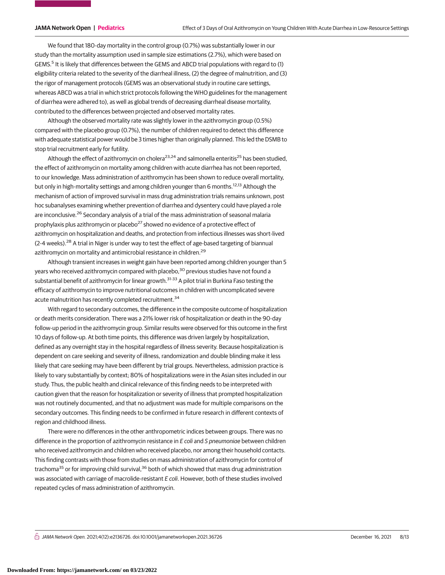We found that 180-day mortality in the control group (0.7%) was substantially lower in our study than the mortality assumption used in sample size estimations (2.7%), which were based on GEMS.<sup>5</sup> It is likely that differences between the GEMS and ABCD trial populations with regard to (1) eligibility criteria related to the severity of the diarrheal illness, (2) the degree of malnutrition, and (3) the rigor of management protocols (GEMS was an observational study in routine care settings, whereas ABCD was a trial in which strict protocols following the WHO guidelines for the management of diarrhea were adhered to), as well as global trends of decreasing diarrheal disease mortality, contributed to the differences between projected and observed mortality rates.

Although the observed mortality rate was slightly lower in the azithromycin group (0.5%) compared with the placebo group (0.7%), the number of children required to detect this difference with adequate statistical power would be 3 times higher than originally planned. This led the DSMB to stop trial recruitment early for futility.

Although the effect of azithromycin on cholera<sup>23,24</sup> and salmonella enteritis<sup>25</sup> has been studied, the effect of azithromycin on mortality among children with acute diarrhea has not been reported, to our knowledge. Mass administration of azithromycin has been shown to reduce overall mortality, but only in high-mortality settings and among children younger than 6 months.<sup>12,13</sup> Although the mechanism of action of improved survival in mass drug administration trials remains unknown, post hoc subanalyses examining whether prevention of diarrhea and dysentery could have played a role are inconclusive.<sup>26</sup> Secondary analysis of a trial of the mass administration of seasonal malaria prophylaxis plus azithromycin or placebo<sup>27</sup> showed no evidence of a protective effect of azithromycin on hospitalization and deaths, and protection from infectious illnesses was short-lived  $(2-4$  weeks).<sup>28</sup> A trial in Niger is under way to test the effect of age-based targeting of biannual azithromycin on mortality and antimicrobial resistance in children.<sup>29</sup>

Although transient increases in weight gain have been reported among children younger than 5 years who received azithromycin compared with placebo,<sup>30</sup> previous studies have not found a substantial benefit of azithromycin for linear growth.<sup>31-33</sup> A pilot trial in Burkina Faso testing the efficacy of azithromycin to improve nutritional outcomes in children with uncomplicated severe acute malnutrition has recently completed recruitment.<sup>34</sup>

With regard to secondary outcomes, the difference in the composite outcome of hospitalization or death merits consideration. There was a 21% lower risk of hospitalization or death in the 90-day follow-up period in the azithromycin group. Similar results were observed for this outcome in the first 10 days of follow-up. At both time points, this difference was driven largely by hospitalization, defined as any overnight stay in the hospital regardless of illness severity. Because hospitalization is dependent on care seeking and severity of illness, randomization and double blinding make it less likely that care seeking may have been different by trial groups. Nevertheless, admission practice is likely to vary substantially by context; 80% of hospitalizations were in the Asian sites included in our study. Thus, the public health and clinical relevance of this finding needs to be interpreted with caution given that the reason for hospitalization or severity of illness that prompted hospitalization was not routinely documented, and that no adjustment was made for multiple comparisons on the secondary outcomes. This finding needs to be confirmed in future research in different contexts of region and childhood illness.

There were no differences in the other anthropometric indices between groups. There was no difference in the proportion of azithromycin resistance in  $E$  coli and  $S$  pneumoniae between children who received azithromycin and children who received placebo, nor among their household contacts. This finding contrasts with those from studies on mass administration of azithromycin for control of trachoma<sup>35</sup> or for improving child survival,<sup>36</sup> both of which showed that mass drug administration was associated with carriage of macrolide-resistant E coli. However, both of these studies involved repeated cycles of mass administration of azithromycin.

 $\bigcap$  JAMA Network Open. 2021;4(12):e2136726. doi:10.1001/jamanetworkopen.2021.36726 (Reprinted) December 16, 2021 8/13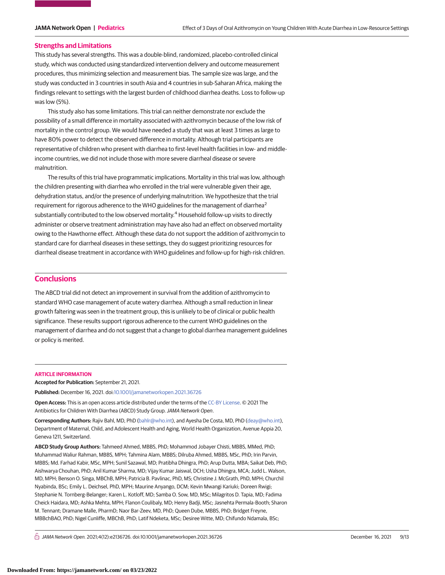#### **Strengths and Limitations**

This study has several strengths. This was a double-blind, randomized, placebo-controlled clinical study, which was conducted using standardized intervention delivery and outcome measurement procedures, thus minimizing selection and measurement bias. The sample size was large, and the study was conducted in 3 countries in south Asia and 4 countries in sub-Saharan Africa, making the findings relevant to settings with the largest burden of childhood diarrhea deaths. Loss to follow-up was low (5%).

This study also has some limitations. This trial can neither demonstrate nor exclude the possibility of a small difference in mortality associated with azithromycin because of the low risk of mortality in the control group. We would have needed a study that was at least 3 times as large to have 80% power to detect the observed difference in mortality. Although trial participants are representative of children who present with diarrhea to first-level health facilities in low- and middleincome countries, we did not include those with more severe diarrheal disease or severe malnutrition.

The results of this trial have programmatic implications. Mortality in this trial was low, although the children presenting with diarrhea who enrolled in the trial were vulnerable given their age, dehydration status, and/or the presence of underlying malnutrition. We hypothesize that the trial requirement for rigorous adherence to the WHO guidelines for the management of diarrhea<sup>2</sup> substantially contributed to the low observed mortality.<sup>4</sup> Household follow-up visits to directly administer or observe treatment administration may have also had an effect on observed mortality owing to the Hawthorne effect. Although these data do not support the addition of azithromycin to standard care for diarrheal diseases in these settings, they do suggest prioritizing resources for diarrheal disease treatment in accordance with WHO guidelines and follow-up for high-risk children.

### **Conclusions**

The ABCD trial did not detect an improvement in survival from the addition of azithromycin to standard WHO case management of acute watery diarrhea. Although a small reduction in linear growth faltering was seen in the treatment group, this is unlikely to be of clinical or public health significance. These results support rigorous adherence to the current WHO guidelines on the management of diarrhea and do not suggest that a change to global diarrhea management guidelines or policy is merited.

#### **ARTICLE INFORMATION**

**Accepted for Publication:** September 21, 2021.

**Published:** December 16, 2021. doi[:10.1001/jamanetworkopen.2021.36726](https://jama.jamanetwork.com/article.aspx?doi=10.1001/jamanetworkopen.2021.36726&utm_campaign=articlePDF%26utm_medium=articlePDFlink%26utm_source=articlePDF%26utm_content=jamanetworkopen.2021.36726)

**Open Access:** This is an open access article distributed under the terms of the [CC-BY License.](https://jamanetwork.com/pages/cc-by-license-permissions/?utm_campaign=articlePDF%26utm_medium=articlePDFlink%26utm_source=articlePDF%26utm_content=jamanetworkopen.2021.36726) © 2021 The Antibiotics for Children With Diarrhea (ABCD) Study Group.JAMA Network Open.

**Corresponding Authors:** Rajiv Bahl, MD, PhD [\(bahlr@who.int\)](mailto:bahlr@who.int), and Ayesha De Costa, MD, PhD [\(deay@who.int\)](mailto:deay@who.int), Department of Maternal, Child, and Adolescent Health and Aging, World Health Organization, Avenue Appia 20, Geneva 1211, Switzerland.

**ABCD Study Group Authors:** Tahmeed Ahmed, MBBS, PhD; Mohammod Jobayer Chisti, MBBS, MMed, PhD; Muhammad Waliur Rahman, MBBS, MPH; Tahmina Alam, MBBS; Dilruba Ahmed, MBBS, MSc, PhD; Irin Parvin, MBBS; Md. Farhad Kabir, MSc, MPH; Sunil Sazawal, MD; Pratibha Dhingra, PhD; Arup Dutta, MBA; Saikat Deb, PhD; Aishwarya Chouhan, PhD; Anil Kumar Sharma, MD; Vijay Kumar Jaiswal, DCH; Usha Dhingra, MCA; Judd L. Walson, MD, MPH; Benson O. Singa, MBChB, MPH; Patricia B. Pavlinac, PhD, MS; Christine J. McGrath, PhD, MPH; Churchil Nyabinda, BSc; Emily L. Deichsel, PhD, MPH; Maurine Anyango, DCM; Kevin Mwangi Kariuki; Doreen Rwigi; Stephanie N. Tornberg-Belanger; Karen L. Kotloff, MD; Samba O. Sow, MD, MSc; Milagritos D. Tapia, MD; Fadima Cheick Haidara, MD; Ashka Mehta, MPH; Flanon Coulibaly, MD; Henry Badji, MSc; Jasnehta Permala-Booth; Sharon M. Tennant; Dramane Malle, PharmD; Naor Bar-Zeev, MD, PhD; Queen Dube, MBBS, PhD; Bridget Freyne, MBBchBAO, PhD; Nigel Cunliffe, MBChB, PhD; Latif Ndeketa, MSc; Desiree Witte, MD; Chifundo Ndamala, BSc;

 $\bigcap$  JAMA Network Open. 2021;4(12):e2136726. doi:10.1001/jamanetworkopen.2021.36726 (Reprinted) December 16, 2021 9/13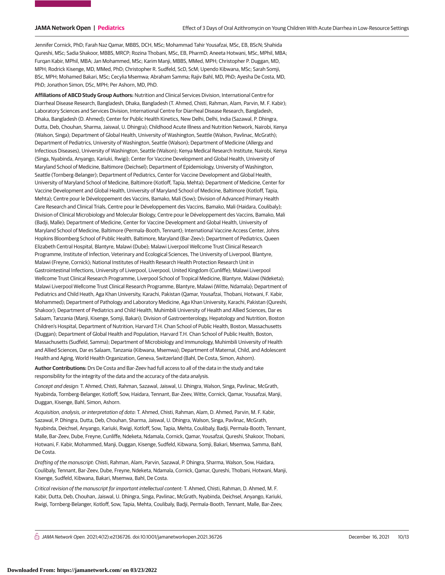Jennifer Cornick, PhD; Farah Naz Qamar, MBBS, DCH, MSc; Mohammad Tahir Yousafzai, MSc, EB, BScN; Shahida Qureshi, MSc; Sadia Shakoor, MBBS, MRCP; Rozina Thobani, MSc, EB, PharmD; Aneeta Hotwani, MSc, MPhil, MBA; Furqan Kabir, MPhil, MBA; Jan Mohammed, MSc; Karim Manji, MBBS, MMed, MPH; Christopher P. Duggan, MD, MPH; Rodrick Kisenge, MD, MMed, PhD; Christopher R. Sudfeld, ScD, ScM; Upendo Kibwana, MSc; Sarah Somji, BSc, MPH; Mohamed Bakari, MSc; Cecylia Msemwa; Abraham Samma; Rajiv Bahl, MD, PhD; Ayesha De Costa, MD, PhD; Jonathon Simon, DSc, MPH; Per Ashorn, MD, PhD.

**Affiliations of ABCD Study Group Authors:** Nutrition and Clinical Services Division, International Centre for Diarrheal Disease Research, Bangladesh, Dhaka, Bangladesh (T. Ahmed, Chisti, Rahman, Alam, Parvin, M. F. Kabir); Laboratory Sciences and Services Division, International Centre for Diarrheal Disease Research, Bangladesh, Dhaka, Bangladesh (D. Ahmed); Center for Public Health Kinetics, New Delhi, Delhi, India (Sazawal, P. Dhingra, Dutta, Deb, Chouhan, Sharma, Jaiswal, U. Dhingra); Childhood Acute Illness and Nutrition Network, Nairobi, Kenya (Walson, Singa); Department of Global Health, University of Washington, Seattle (Walson, Pavlinac, McGrath); Department of Pediatrics, University of Washington, Seattle (Walson); Department of Medicine (Allergy and Infectious Diseases), University of Washington, Seattle (Walson); Kenya Medical Research Institute, Nairobi, Kenya (Singa, Nyabinda, Anyango, Kariuki, Rwigi); Center for Vaccine Development and Global Health, University of Maryland School of Medicine, Baltimore (Deichsel); Department of Epidemiology, University of Washington, Seattle (Tornberg-Belanger); Department of Pediatrics, Center for Vaccine Development and Global Health, University of Maryland School of Medicine, Baltimore (Kotloff, Tapia, Mehta); Department of Medicine, Center for Vaccine Development and Global Health, University of Maryland School of Medicine, Baltimore (Kotloff, Tapia, Mehta); Centre pour le Développement des Vaccins, Bamako, Mali (Sow); Division of Advanced Primary Health Care Research and Clinical Trials, Centre pour le Développement des Vaccins, Bamako, Mali (Haidara, Coulibaly); Division of Clinical Microbiology and Molecular Biology, Centre pour le Développement des Vaccins, Bamako, Mali (Badji, Malle); Department of Medicine, Center for Vaccine Development and Global Health, University of Maryland School of Medicine, Baltimore (Permala-Booth, Tennant); International Vaccine Access Center, Johns Hopkins Bloomberg School of Public Health, Baltimore, Maryland (Bar-Zeev); Department of Pediatrics, Queen Elizabeth Central Hospital, Blantyre, Malawi (Dube); Malawi Liverpool Wellcome Trust Clinical Research Programme, Institute of Infection, Veterinary and Ecological Sciences, The University of Liverpool, Blantyre, Malawi (Freyne, Cornick); National Institutes of Health Research Health Protection Research Unit in Gastrointestinal Infections, University of Liverpool, Liverpool, United Kingdom (Cunliffe); Malawi Liverpool Wellcome Trust Clinical Research Programme, Liverpool School of Tropical Medicine, Blantyre, Malawi (Ndeketa); Malawi Liverpool Wellcome Trust Clinical Research Programme, Blantyre, Malawi (Witte, Ndamala); Department of Pediatrics and Child Heath, Aga Khan University, Karachi, Pakistan (Qamar, Yousafzai, Thobani, Hotwani, F. Kabir, Mohammed); Department of Pathology and Laboratory Medicine, Aga Khan University, Karachi, Pakistan (Qureshi, Shakoor); Department of Pediatrics and Child Health, Muhimbili University of Health and Allied Sciences, Dar es Salaam, Tanzania (Manji, Kisenge, Somji, Bakari); Division of Gastroenterology, Hepatology and Nutrition, Boston Children's Hospital, Department of Nutrition, Harvard T.H. Chan School of Public Health, Boston, Massachusetts (Duggan); Department of Global Health and Population, Harvard T.H. Chan School of Public Health, Boston, Massachusetts (Sudfeld, Samma); Department of Microbiology and Immunology, Muhimbili University of Health and Allied Sciences, Dar es Salaam, Tanzania (Kibwana, Msemwa); Department of Maternal, Child, and Adolescent Health and Aging, World Health Organization, Geneva, Switzerland (Bahl, De Costa, Simon, Ashorn).

**Author Contributions:** Drs De Costa and Bar-Zeev had full access to all of the data in the study and take responsibility for the integrity of the data and the accuracy of the data analysis.

Concept and design: T. Ahmed, Chisti, Rahman, Sazawal, Jaiswal, U. Dhingra, Walson, Singa, Pavlinac, McGrath, Nyabinda, Tornberg-Belanger, Kotloff, Sow, Haidara, Tennant, Bar-Zeev, Witte, Cornick, Qamar, Yousafzai, Manji, Duggan, Kisenge, Bahl, Simon, Ashorn.

Acquisition, analysis, or interpretation of data: T. Ahmed, Chisti, Rahman, Alam, D. Ahmed, Parvin, M. F. Kabir, Sazawal, P. Dhingra, Dutta, Deb, Chouhan, Sharma, Jaiswal, U. Dhingra, Walson, Singa, Pavlinac, McGrath, Nyabinda, Deichsel, Anyango, Kariuki, Rwigi, Kotloff, Sow, Tapia, Mehta, Coulibaly, Badji, Permala-Booth, Tennant, Malle, Bar-Zeev, Dube, Freyne, Cunliffe, Ndeketa, Ndamala, Cornick, Qamar, Yousafzai, Qureshi, Shakoor, Thobani, Hotwani, F. Kabir, Mohammed, Manji, Duggan, Kisenge, Sudfeld, Kibwana, Somji, Bakari, Msemwa, Samma, Bahl, De Costa.

Drafting of the manuscript: Chisti, Rahman, Alam, Parvin, Sazawal, P. Dhingra, Sharma, Walson, Sow, Haidara, Coulibaly, Tennant, Bar-Zeev, Dube, Freyne, Ndeketa, Ndamala, Cornick, Qamar, Qureshi, Thobani, Hotwani, Manji, Kisenge, Sudfeld, Kibwana, Bakari, Msemwa, Bahl, De Costa.

Critical revision of the manuscript for important intellectual content: T. Ahmed, Chisti, Rahman, D. Ahmed, M. F. Kabir, Dutta, Deb, Chouhan, Jaiswal, U. Dhingra, Singa, Pavlinac, McGrath, Nyabinda, Deichsel, Anyango, Kariuki, Rwigi, Tornberg-Belanger, Kotloff, Sow, Tapia, Mehta, Coulibaly, Badji, Permala-Booth, Tennant, Malle, Bar-Zeev,

 $\bigcap$  JAMA Network Open. 2021;4(12):e2136726. doi:10.1001/jamanetworkopen.2021.36726 (Reprinted) December 16, 2021 10/13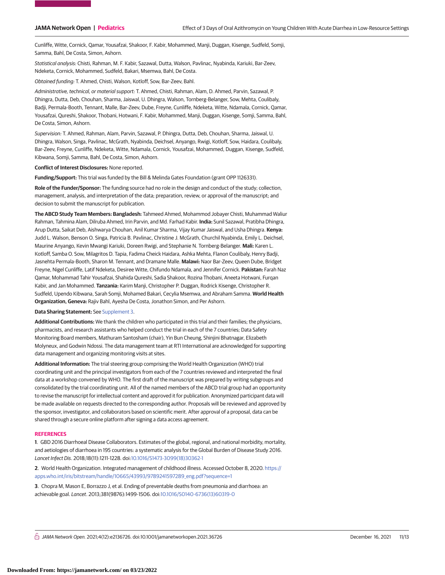Cunliffe, Witte, Cornick, Qamar, Yousafzai, Shakoor, F. Kabir, Mohammed, Manji, Duggan, Kisenge, Sudfeld, Somji, Samma, Bahl, De Costa, Simon, Ashorn.

Statistical analysis: Chisti, Rahman, M. F. Kabir, Sazawal, Dutta, Walson, Pavlinac, Nyabinda, Kariuki, Bar-Zeev, Ndeketa, Cornick, Mohammed, Sudfeld, Bakari, Msemwa, Bahl, De Costa.

Obtained funding: T. Ahmed, Chisti, Walson, Kotloff, Sow, Bar-Zeev, Bahl.

Administrative, technical, or material support: T. Ahmed, Chisti, Rahman, Alam, D. Ahmed, Parvin, Sazawal, P. Dhingra, Dutta, Deb, Chouhan, Sharma, Jaiswal, U. Dhingra, Walson, Tornberg-Belanger, Sow, Mehta, Coulibaly, Badji, Permala-Booth, Tennant, Malle, Bar-Zeev, Dube, Freyne, Cunliffe, Ndeketa, Witte, Ndamala, Cornick, Qamar, Yousafzai, Qureshi, Shakoor, Thobani, Hotwani, F. Kabir, Mohammed, Manji, Duggan, Kisenge, Somji, Samma, Bahl, De Costa, Simon, Ashorn.

Supervision: T. Ahmed, Rahman, Alam, Parvin, Sazawal, P. Dhingra, Dutta, Deb, Chouhan, Sharma, Jaiswal, U. Dhingra, Walson, Singa, Pavlinac, McGrath, Nyabinda, Deichsel, Anyango, Rwigi, Kotloff, Sow, Haidara, Coulibaly, Bar-Zeev, Freyne, Cunliffe, Ndeketa, Witte, Ndamala, Cornick, Yousafzai, Mohammed, Duggan, Kisenge, Sudfeld, Kibwana, Somji, Samma, Bahl, De Costa, Simon, Ashorn.

**Conflict of Interest Disclosures:** None reported.

**Funding/Support:** This trial was funded by the Bill & Melinda Gates Foundation (grant OPP 1126331).

**Role of the Funder/Sponsor:** The funding source had no role in the design and conduct of the study; collection, management, analysis, and interpretation of the data; preparation, review, or approval of the manuscript; and decision to submit the manuscript for publication.

**The ABCD Study Team Members: Bangladesh:** Tahmeed Ahmed, Mohammod Jobayer Chisti, Muhammad Waliur Rahman, Tahmina Alam, Dilruba Ahmed, Irin Parvin, and Md. Farhad Kabir. **India:** Sunil Sazawal, Pratibha Dhingra, Arup Dutta, Saikat Deb, Aishwarya Chouhan, Anil Kumar Sharma, Vijay Kumar Jaiswal, and Usha Dhingra. **Kenya:** Judd L. Walson, Benson O. Singa, Patricia B. Pavlinac, Christine J. McGrath, Churchil Nyabinda, Emily L. Deichsel, Maurine Anyango, Kevin Mwangi Kariuki, Doreen Rwigi, and Stephanie N. Tornberg-Belanger. **Mali:** Karen L. Kotloff, Samba O. Sow, Milagritos D. Tapia, Fadima Cheick Haidara, Ashka Mehta, Flanon Coulibaly, Henry Badji, Jasnehta Permala-Booth, Sharon M. Tennant, and Dramane Malle. **Malawi:** Naor Bar-Zeev, Queen Dube, Bridget Freyne, Nigel Cunliffe, Latif Ndeketa, Desiree Witte, Chifundo Ndamala, and Jennifer Cornick. **Pakistan:** Farah Naz Qamar, Mohammad Tahir Yousafzai, Shahida Qureshi, Sadia Shakoor, Rozina Thobani, Aneeta Hotwani, Furqan Kabir, and Jan Mohammed. **Tanzania:** Karim Manji, Christopher P. Duggan, Rodrick Kisenge, Christopher R. Sudfeld, Upendo Kibwana, Sarah Somji, Mohamed Bakari, Cecylia Msemwa, and Abraham Samma. **World Health Organization, Geneva:** Rajiv Bahl, Ayesha De Costa, Jonathon Simon, and Per Ashorn.

#### **Data Sharing Statement:** See [Supplement 3.](https://jama.jamanetwork.com/article.aspx?doi=10.1001/jamanetworkopen.2021.36726&utm_campaign=articlePDF%26utm_medium=articlePDFlink%26utm_source=articlePDF%26utm_content=jamanetworkopen.2021.36726)

**Additional Contributions:** We thank the children who participated in this trial and their families; the physicians, pharmacists, and research assistants who helped conduct the trial in each of the 7 countries; Data Safety Monitoring Board members, Mathuram Santosham (chair), Yin Bun Cheung, Shinjini Bhatnagar, Elizabeth Molyneux, and Godwin Ndossi. The data management team at RTI International are acknowledged for supporting data management and organizing monitoring visits at sites.

**Additional Information:** The trial steering group comprising the World Health Organization (WHO) trial coordinating unit and the principal investigators from each of the 7 countries reviewed and interpreted the final data at a workshop convened by WHO. The first draft of the manuscript was prepared by writing subgroups and consolidated by the trial coordinating unit. All of the named members of the ABCD trial group had an opportunity to revise the manuscript for intellectual content and approved it for publication. Anonymized participant data will be made available on requests directed to the corresponding author. Proposals will be reviewed and approved by the sponsor, investigator, and collaborators based on scientific merit. After approval of a proposal, data can be shared through a secure online platform after signing a data access agreement.

#### **REFERENCES**

**1**. GBD 2016 Diarrhoeal Disease Collaborators. Estimates of the global, regional, and national morbidity, mortality, and aetiologies of diarrhoea in 195 countries: a systematic analysis for the Global Burden of Disease Study 2016. Lancet Infect Dis. 2018;18(11):1211-1228. doi[:10.1016/S1473-3099\(18\)30362-1](https://dx.doi.org/10.1016/S1473-3099(18)30362-1)

**2**. World Health Organization. Integrated management of childhood illness. Accessed October 8, 2020. [https://](https://apps.who.int/iris/bitstream/handle/10665/43993/9789241597289_eng.pdf?sequence=1) [apps.who.int/iris/bitstream/handle/10665/43993/9789241597289\\_eng.pdf?sequence=1](https://apps.who.int/iris/bitstream/handle/10665/43993/9789241597289_eng.pdf?sequence=1)

**3**. Chopra M, Mason E, Borrazzo J, et al. Ending of preventable deaths from pneumonia and diarrhoea: an achievable goal. Lancet. 2013;381(9876):1499-1506. doi[:10.1016/S0140-6736\(13\)60319-0](https://dx.doi.org/10.1016/S0140-6736(13)60319-0)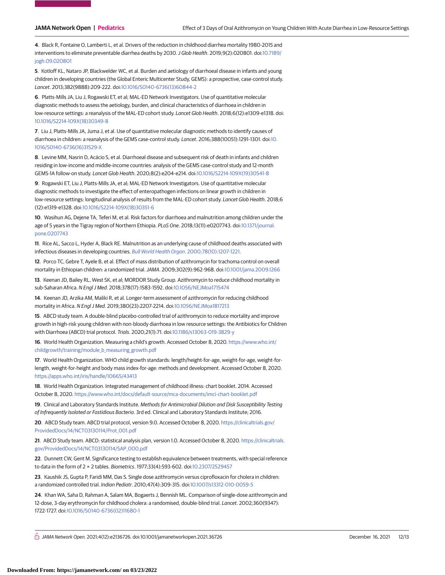**4**. Black R, Fontaine O, Lamberti L, et al. Drivers of the reduction in childhood diarrhea mortality 1980-2015 and interventions to eliminate preventable diarrhea deaths by 2030.J Glob Health. 2019;9(2):020801. doi[:10.7189/](https://dx.doi.org/10.7189/jogh.09.020801) [jogh.09.020801](https://dx.doi.org/10.7189/jogh.09.020801)

**5**. Kotloff KL, Nataro JP, Blackwelder WC, et al. Burden and aetiology of diarrhoeal disease in infants and young children in developing countries (the Global Enteric Multicenter Study, GEMS): a prospective, case-control study. Lancet. 2013;382(9888):209-222. doi[:10.1016/S0140-6736\(13\)60844-2](https://dx.doi.org/10.1016/S0140-6736(13)60844-2)

**6**. Platts-Mills JA, Liu J, Rogawski ET, et al; MAL-ED Network Investigators. Use of quantitative molecular diagnostic methods to assess the aetiology, burden, and clinical characteristics of diarrhoea in children in low-resource settings: a reanalysis of the MAL-ED cohort study. Lancet Glob Health. 2018;6(12):e1309-e1318. doi: [10.1016/S2214-109X\(18\)30349-8](https://dx.doi.org/10.1016/S2214-109X(18)30349-8)

**7**. Liu J, Platts-Mills JA, Juma J, et al. Use of quantitative molecular diagnostic methods to identify causes of diarrhoea in children: a reanalysis of the GEMS case-control study. Lancet. 2016;388(10051):1291-1301. doi[:10.](https://dx.doi.org/10.1016/S0140-6736(16)31529-X) [1016/S0140-6736\(16\)31529-X](https://dx.doi.org/10.1016/S0140-6736(16)31529-X)

**8**. Levine MM, Nasrin D, Acácio S, et al. Diarrhoeal disease and subsequent risk of death in infants and children residing in low-income and middle-income countries: analysis of the GEMS case-control study and 12-month GEMS-1A follow-on study. Lancet Glob Health. 2020;8(2):e204-e214. doi[:10.1016/S2214-109X\(19\)30541-8](https://dx.doi.org/10.1016/S2214-109X(19)30541-8)

**9**. Rogawski ET, Liu J, Platts-Mills JA, et al; MAL-ED Network Investigators. Use of quantitative molecular diagnostic methods to investigate the effect of enteropathogen infections on linear growth in children in low-resource settings: longitudinal analysis of results from the MAL-ED cohort study. Lancet Glob Health. 2018;6 (12):e1319-e1328. doi[:10.1016/S2214-109X\(18\)30351-6](https://dx.doi.org/10.1016/S2214-109X(18)30351-6)

**10**. Wasihun AG, Dejene TA, Teferi M, et al. Risk factors for diarrhoea and malnutrition among children under the age of 5 years in the Tigray region of Northern Ethiopia. PLoS One. 2018;13(11):e0207743. doi[:10.1371/journal.](https://dx.doi.org/10.1371/journal.pone.0207743) [pone.0207743](https://dx.doi.org/10.1371/journal.pone.0207743)

**11**. Rice AL, Sacco L, Hyder A, Black RE. Malnutrition as an underlying cause of childhood deaths associated with infectious diseases in developing countries. Bull World Health Organ[. 2000;78\(10\):1207-1221.](https://www.ncbi.nlm.nih.gov/pubmed/11100616)

**12**. Porco TC, Gebre T, Ayele B, et al. Effect of mass distribution of azithromycin for trachoma control on overall mortality in Ethiopian children: a randomized trial.JAMA. 2009;302(9):962-968. doi[:10.1001/jama.2009.1266](https://jama.jamanetwork.com/article.aspx?doi=10.1001/jama.2009.1266&utm_campaign=articlePDF%26utm_medium=articlePDFlink%26utm_source=articlePDF%26utm_content=jamanetworkopen.2021.36726)

**13**. Keenan JD, Bailey RL, West SK, et al; MORDOR Study Group. Azithromycin to reduce childhood mortality in sub-Saharan Africa. N Engl J Med. 2018;378(17):1583-1592. doi[:10.1056/NEJMoa1715474](https://dx.doi.org/10.1056/NEJMoa1715474)

**14**. Keenan JD, Arzika AM, Maliki R, et al. Longer-term assessment of azithromycin for reducing childhood mortality in Africa. N Engl J Med. 2019;380(23):2207-2214. doi[:10.1056/NEJMoa1817213](https://dx.doi.org/10.1056/NEJMoa1817213)

**15**. ABCD study team. A double-blind placebo-controlled trial of azithromycin to reduce mortality and improve growth in high-risk young children with non-bloody diarrhoea in low resource settings: the Antibiotics for Children with Diarrhoea (ABCD) trial protocol. Trials. 2020;21(1):71. doi[:10.1186/s13063-019-3829-y](https://dx.doi.org/10.1186/s13063-019-3829-y)

**16**. World Health Organization. Measuring a child's growth. Accessed October 8, 2020. [https://www.who.int/](https://www.who.int/childgrowth/training/module_b_measuring_growth.pdf) [childgrowth/training/module\\_b\\_measuring\\_growth.pdf](https://www.who.int/childgrowth/training/module_b_measuring_growth.pdf)

**17**. World Health Organization. WHO child growth standards: length/height-for-age, weight-for-age, weight-forlength, weight-for-height and body mass index-for-age: methods and development. Accessed October 8, 2020. <https://apps.who.int/iris/handle/10665/43413>

**18**. World Health Organization. Integrated management of childhood illness: chart booklet. 2014. Accessed October 8, 2020. <https://www.who.int/docs/default-source/mca-documents/imci-chart-booklet.pdf>

**19**. Clinical and Laboratory Standards Institute. Methods for Antimicrobial Dilution and Disk Susceptibility Testing of Infrequently Isolated or Fastidious Bacteria. 3rd ed. Clinical and Laboratory Standards Institute; 2016.

**20**. ABCD Study team. ABCD trial protocol, version 9.0. Accessed October 8, 2020. [https://clinicaltrials.gov/](https://clinicaltrials.gov/ProvidedDocs/14/NCT03130114/Prot_001.pdf) [ProvidedDocs/14/NCT03130114/Prot\\_001.pdf](https://clinicaltrials.gov/ProvidedDocs/14/NCT03130114/Prot_001.pdf)

**21**. ABCD Study team. ABCD: statistical analysis plan, version 1.0. Accessed October 8, 2020. [https://clinicaltrials.](https://clinicaltrials.gov/ProvidedDocs/14/NCT03130114/SAP_000.pdf) [gov/ProvidedDocs/14/NCT03130114/SAP\\_000.pdf](https://clinicaltrials.gov/ProvidedDocs/14/NCT03130114/SAP_000.pdf)

**22**. Dunnett CW, Gent M. Significance testing to establish equivalence between treatments, with special reference to data in the form of 2 × 2 tables. Biometrics. 1977;33(4):593-602. doi[:10.2307/2529457](https://dx.doi.org/10.2307/2529457)

**23**. Kaushik JS, Gupta P, Faridi MM, Das S. Single dose azithromycin versus ciprofloxacin for cholera in children: a randomized controlled trial. Indian Pediatr. 2010;47(4):309-315. doi[:10.1007/s13312-010-0059-5](https://dx.doi.org/10.1007/s13312-010-0059-5)

**24**. Khan WA, Saha D, Rahman A, Salam MA, Bogaerts J, Bennish ML. Comparison of single-dose azithromycin and 12-dose, 3-day erythromycin for childhood cholera: a randomised, double-blind trial. Lancet. 2002;360(9347): 1722-1727. doi[:10.1016/S0140-6736\(02\)11680-1](https://dx.doi.org/10.1016/S0140-6736(02)11680-1)

 $\bigcap$  JAMA Network Open. 2021;4(12):e2136726. doi:10.1001/jamanetworkopen.2021.36726 (Reprinted) December 16, 2021 12/13